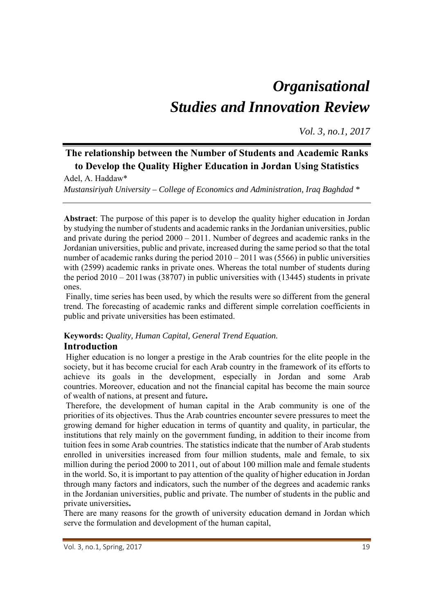# *Organisational Studies and Innovation Review*

*Vol. 3, no.1, 2017*

# **The relationship between the Number of Students and Academic Ranks to Develop the Quality Higher Education in Jordan Using Statistics**

Adel, A. Haddaw\* *Mustansiriyah University – College of Economics and Administration, Iraq Baghdad \** 

**Abstract**: The purpose of this paper is to develop the quality higher education in Jordan by studying the number of students and academic ranks in the Jordanian universities, public and private during the period 2000 – 2011. Number of degrees and academic ranks in the Jordanian universities, public and private, increased during the same period so that the total number of academic ranks during the period  $2010 - 2011$  was (5566) in public universities with (2599) academic ranks in private ones. Whereas the total number of students during the period  $2010 - 2011$  was  $(38707)$  in public universities with  $(13445)$  students in private ones.

 Finally, time series has been used, by which the results were so different from the general trend. The forecasting of academic ranks and different simple correlation coefficients in public and private universities has been estimated.

#### **Keywords:** *Quality, Human Capital, General Trend Equation.*  **Introduction**

 Higher education is no longer a prestige in the Arab countries for the elite people in the society, but it has become crucial for each Arab country in the framework of its efforts to achieve its goals in the development, especially in Jordan and some Arab countries. Moreover, education and not the financial capital has become the main source of wealth of nations, at present and future**.** 

 Therefore, the development of human capital in the Arab community is one of the priorities of its objectives. Thus the Arab countries encounter severe pressures to meet the growing demand for higher education in terms of quantity and quality, in particular, the institutions that rely mainly on the government funding, in addition to their income from tuition fees in some Arab countries. The statistics indicate that the number of Arab students enrolled in universities increased from four million students, male and female, to six million during the period 2000 to 2011, out of about 100 million male and female students in the world. So, it is important to pay attention of the quality of higher education in Jordan through many factors and indicators, such the number of the degrees and academic ranks in the Jordanian universities, public and private. The number of students in the public and private universities**.**

There are many reasons for the growth of university education demand in Jordan which serve the formulation and development of the human capital,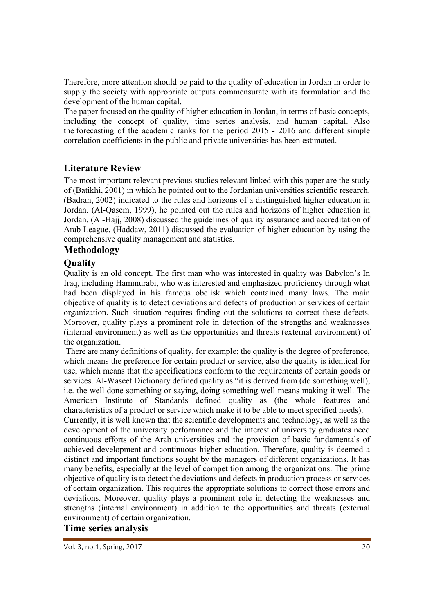Therefore, more attention should be paid to the quality of education in Jordan in order to supply the society with appropriate outputs commensurate with its formulation and the development of the human capital**.** 

The paper focused on the quality of higher education in Jordan, in terms of basic concepts, including the concept of quality, time series analysis, and human capital. Also the forecasting of the academic ranks for the period 2015 - 2016 and different simple correlation coefficients in the public and private universities has been estimated.

#### **Literature Review**

The most important relevant previous studies relevant linked with this paper are the study of (Batikhi, 2001) in which he pointed out to the Jordanian universities scientific research. (Badran, 2002) indicated to the rules and horizons of a distinguished higher education in Jordan. (Al-Qasem, 1999), he pointed out the rules and horizons of higher education in Jordan. (Al-Hajj, 2008) discussed the guidelines of quality assurance and accreditation of Arab League. (Haddaw, 2011) discussed the evaluation of higher education by using the comprehensive quality management and statistics.

#### **Methodology**

#### **Quality**

Quality is an old concept. The first man who was interested in quality was Babylon's In Iraq, including Hammurabi, who was interested and emphasized proficiency through what had been displayed in his famous obelisk which contained many laws. The main objective of quality is to detect deviations and defects of production or services of certain organization. Such situation requires finding out the solutions to correct these defects. Moreover, quality plays a prominent role in detection of the strengths and weaknesses (internal environment) as well as the opportunities and threats (external environment) of the organization.

 There are many definitions of quality, for example; the quality is the degree of preference, which means the preference for certain product or service, also the quality is identical for use, which means that the specifications conform to the requirements of certain goods or services. Al-Waseet Dictionary defined quality as "it is derived from (do something well), i.e. the well done something or saying, doing something well means making it well. The American Institute of Standards defined quality as (the whole features and characteristics of a product or service which make it to be able to meet specified needs).

Currently, it is well known that the scientific developments and technology, as well as the development of the university performance and the interest of university graduates need continuous efforts of the Arab universities and the provision of basic fundamentals of achieved development and continuous higher education. Therefore, quality is deemed a distinct and important functions sought by the managers of different organizations. It has many benefits, especially at the level of competition among the organizations. The prime objective of quality is to detect the deviations and defects in production process or services of certain organization. This requires the appropriate solutions to correct those errors and deviations. Moreover, quality plays a prominent role in detecting the weaknesses and strengths (internal environment) in addition to the opportunities and threats (external environment) of certain organization.

#### **Time series analysis**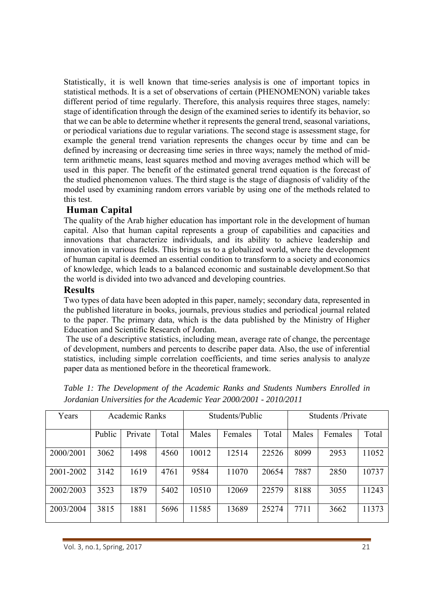Statistically, it is well known that time-series analysis is one of important topics in statistical methods. It is a set of observations of certain (PHENOMENON) variable takes different period of time regularly. Therefore, this analysis requires three stages, namely: stage of identification through the design of the examined series to identify its behavior, so that we can be able to determine whether it represents the general trend, seasonal variations, or periodical variations due to regular variations. The second stage is assessment stage, for example the general trend variation represents the changes occur by time and can be defined by increasing or decreasing time series in three ways; namely the method of midterm arithmetic means, least squares method and moving averages method which will be used in this paper. The benefit of the estimated general trend equation is the forecast of the studied phenomenon values. The third stage is the stage of diagnosis of validity of the model used by examining random errors variable by using one of the methods related to this test.

## **Human Capital**

The quality of the Arab higher education has important role in the development of human capital. Also that human capital represents a group of capabilities and capacities and innovations that characterize individuals, and its ability to achieve leadership and innovation in various fields. This brings us to a globalized world, where the development of human capital is deemed an essential condition to transform to a society and economics of knowledge, which leads to a balanced economic and sustainable development.So that the world is divided into two advanced and developing countries.

#### **Results**

Two types of data have been adopted in this paper, namely; secondary data, represented in the published literature in books, journals, previous studies and periodical journal related to the paper. The primary data, which is the data published by the Ministry of Higher Education and Scientific Research of Jordan.

 The use of a descriptive statistics, including mean, average rate of change, the percentage of development, numbers and percents to describe paper data. Also, the use of inferential statistics, including simple correlation coefficients, and time series analysis to analyze paper data as mentioned before in the theoretical framework.

| Years     | Academic Ranks |         |       | Students/Public |         |       | Students / Private |         |       |
|-----------|----------------|---------|-------|-----------------|---------|-------|--------------------|---------|-------|
|           | Public         | Private | Total | Males           | Females | Total | Males              | Females | Total |
| 2000/2001 | 3062           | 1498    | 4560  | 10012           | 12514   | 22526 | 8099               | 2953    | 11052 |
| 2001-2002 | 3142           | 1619    | 4761  | 9584            | 11070   | 20654 | 7887               | 2850    | 10737 |
| 2002/2003 | 3523           | 1879    | 5402  | 10510           | 12069   | 22579 | 8188               | 3055    | 11243 |
| 2003/2004 | 3815           | 1881    | 5696  | 11585           | 13689   | 25274 | 7711               | 3662    | 11373 |

*Table 1: The Development of the Academic Ranks and Students Numbers Enrolled in Jordanian Universities for the Academic Year 2000/2001 - 2010/2011*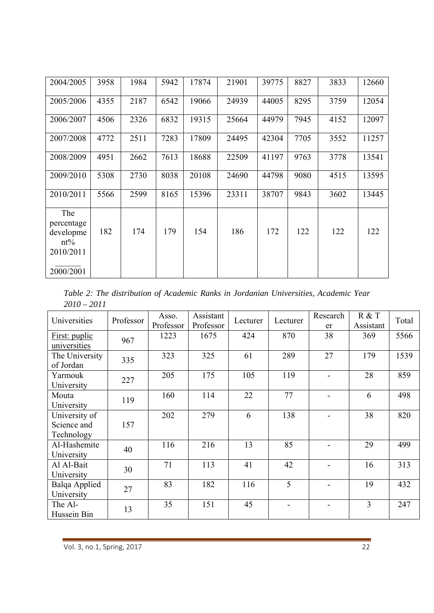| 2004/2005                                             | 3958 | 1984 | 5942 | 17874 | 21901 | 39775 | 8827 | 3833 | 12660 |
|-------------------------------------------------------|------|------|------|-------|-------|-------|------|------|-------|
| 2005/2006                                             | 4355 | 2187 | 6542 | 19066 | 24939 | 44005 | 8295 | 3759 | 12054 |
| 2006/2007                                             | 4506 | 2326 | 6832 | 19315 | 25664 | 44979 | 7945 | 4152 | 12097 |
| 2007/2008                                             | 4772 | 2511 | 7283 | 17809 | 24495 | 42304 | 7705 | 3552 | 11257 |
| 2008/2009                                             | 4951 | 2662 | 7613 | 18688 | 22509 | 41197 | 9763 | 3778 | 13541 |
| 2009/2010                                             | 5308 | 2730 | 8038 | 20108 | 24690 | 44798 | 9080 | 4515 | 13595 |
| 2010/2011                                             | 5566 | 2599 | 8165 | 15396 | 23311 | 38707 | 9843 | 3602 | 13445 |
| The<br>percentage<br>developme<br>$nt\%$<br>2010/2011 | 182  | 174  | 179  | 154   | 186   | 172   | 122  | 122  | 122   |
| 2000/2001                                             |      |      |      |       |       |       |      |      |       |

*Table 2: The distribution of Academic Ranks in Jordanian Universities, Academic Year 2010 – 2011* 

| Universities                               | Professor | Asso.<br>Professor | Assistant<br>Professor | Lecturer | Lecturer | Research<br>er           | R & T<br>Assistant | Total |
|--------------------------------------------|-----------|--------------------|------------------------|----------|----------|--------------------------|--------------------|-------|
| First: puplic<br>universities              | 967       | 1223               | 1675                   | 424      | 870      | 38                       | 369                | 5566  |
| The University<br>of Jordan                | 335       | 323                | 325                    | 61       | 289      | 27                       | 179                | 1539  |
| Yarmouk<br>University                      | 227       | 205                | 175                    | 105      | 119      |                          | 28                 | 859   |
| Mouta<br>University                        | 119       | 160                | 114                    | 22       | 77       | $\overline{\phantom{0}}$ | 6                  | 498   |
| University of<br>Science and<br>Technology | 157       | 202                | 279                    | 6        | 138      |                          | 38                 | 820   |
| Al-Hashemite<br>University                 | 40        | 116                | 216                    | 13       | 85       |                          | 29                 | 499   |
| Al Al-Bait<br>University                   | 30        | 71                 | 113                    | 41       | 42       |                          | 16                 | 313   |
| Balqa Applied<br>University                | 27        | 83                 | 182                    | 116      | 5        |                          | 19                 | 432   |
| The Al-<br>Hussein Bin                     | 13        | 35                 | 151                    | 45       |          |                          | $\overline{3}$     | 247   |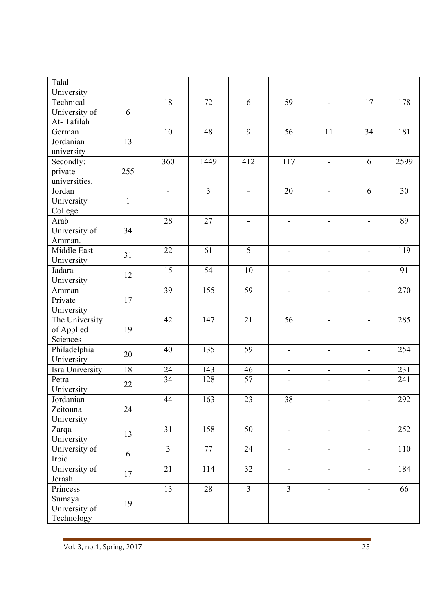| Talal<br>University                               |              |                          |                |                          |                          |                          |                              |      |
|---------------------------------------------------|--------------|--------------------------|----------------|--------------------------|--------------------------|--------------------------|------------------------------|------|
| Technical<br>University of<br>At-Tafilah          | 6            | 18                       | 72             | 6                        | 59                       | $\overline{a}$           | 17                           | 178  |
| German<br>Jordanian<br>university                 | 13           | 10                       | 48             | 9                        | 56                       | 11                       | 34                           | 181  |
| Secondly:<br>private<br>universities.             | 255          | 360                      | 1449           | 412                      | 117                      | $\overline{a}$           | 6                            | 2599 |
| Jordan<br>University<br>College                   | $\mathbf{1}$ | $\overline{\phantom{a}}$ | $\overline{3}$ | $\frac{1}{2}$            | 20                       | $\overline{\phantom{0}}$ | 6                            | 30   |
| Arab<br>University of<br>Amman.                   | 34           | 28                       | 27             | $\overline{\phantom{a}}$ | $\overline{\phantom{a}}$ | $\overline{\phantom{0}}$ | -                            | 89   |
| Middle East<br>University                         | 31           | 22                       | 61             | $\overline{5}$           | $\overline{\phantom{a}}$ | $\overline{\phantom{a}}$ | $\overline{\phantom{0}}$     | 119  |
| Jadara<br>University                              | 12           | 15                       | 54             | 10                       | $\overline{\phantom{a}}$ | $\overline{a}$           | $\overline{\phantom{0}}$     | 91   |
| Amman<br>Private<br>University                    | 17           | 39                       | 155            | $\overline{59}$          | $\overline{\phantom{a}}$ | $\overline{a}$           |                              | 270  |
| The University<br>of Applied<br>Sciences          | 19           | 42                       | 147            | 21                       | 56                       | $\overline{a}$           |                              | 285  |
| Philadelphia<br>University                        | 20           | 40                       | 135            | 59                       | $\overline{a}$           | $\overline{\phantom{0}}$ | $\overline{\phantom{0}}$     | 254  |
| Isra University                                   | 18           | 24                       | 143            | 46                       | $\blacksquare$           | $\blacksquare$           | $\blacksquare$               | 231  |
| Petra<br>University                               | 22           | 34                       | 128            | 57                       | $\overline{\phantom{a}}$ | $\overline{\phantom{a}}$ | $\overline{\phantom{0}}$     | 241  |
| Jordanian<br>Zeitouna<br>University               | 24           | 44                       | 163            | 23                       | 38                       | $\qquad \qquad -$        | $\frac{1}{2}$                | 292  |
| Zarqa<br>University                               | 13           | 31                       | 158            | 50                       | $\overline{\phantom{a}}$ | $\overline{\phantom{0}}$ | $\qquad \qquad \blacksquare$ | 252  |
| University of<br>Irbid                            | 6            | $\overline{3}$           | 77             | 24                       | $\overline{\phantom{a}}$ | $\qquad \qquad -$        | $\qquad \qquad -$            | 110  |
| University of<br>Jerash                           | 17           | 21                       | 114            | 32                       | $\overline{\phantom{a}}$ | $\overline{\phantom{0}}$ | $\overline{\phantom{0}}$     | 184  |
| Princess<br>Sumaya<br>University of<br>Technology | 19           | 13                       | 28             | $\overline{3}$           | $\overline{3}$           | $\overline{\phantom{0}}$ | $\overline{\phantom{0}}$     | 66   |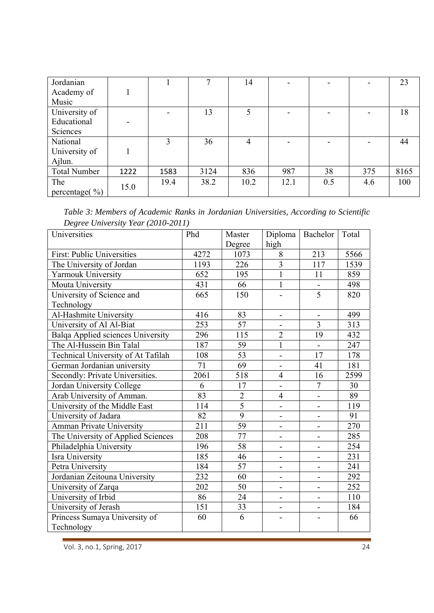| Jordanian           |      |                          | ⇁    | 14   |      |     |     | 23   |
|---------------------|------|--------------------------|------|------|------|-----|-----|------|
| Academy of          |      |                          |      |      |      |     |     |      |
| Music               |      |                          |      |      |      |     |     |      |
| University of       |      | $\overline{\phantom{a}}$ | 13   | 5    |      |     |     | 18   |
| Educational         |      |                          |      |      |      |     |     |      |
| Sciences            |      |                          |      |      |      |     |     |      |
| National            |      | 3                        | 36   | 4    |      |     |     | 44   |
| University of       |      |                          |      |      |      |     |     |      |
| Ajlun.              |      |                          |      |      |      |     |     |      |
| <b>Total Number</b> | 1222 | 1583                     | 3124 | 836  | 987  | 38  | 375 | 8165 |
| The                 | 15.0 | 19.4                     | 38.2 | 10.2 | 12.1 | 0.5 | 4.6 | 100  |
| percentage $(\% )$  |      |                          |      |      |      |     |     |      |

| Table 3: Members of Academic Ranks in Jordanian Universities, According to Scientific |  |  |  |
|---------------------------------------------------------------------------------------|--|--|--|
| Degree University Year (2010-2011)                                                    |  |  |  |

| Universities                       | Phd  | Master          | Diploma                      | Bachelor                     | Total |
|------------------------------------|------|-----------------|------------------------------|------------------------------|-------|
|                                    |      | Degree          | high                         |                              |       |
| First: Public Universities         | 4272 | 1073            | 8                            | 213                          | 5566  |
| The University of Jordan           | 1193 | 226             | $\overline{3}$               | 117                          | 1539  |
| Yarmouk University                 | 652  | 195             | $\mathbf{1}$                 | 11                           | 859   |
| Mouta University                   | 431  | 66              | $\overline{1}$               |                              | 498   |
| University of Science and          | 665  | 150             |                              | $\overline{5}$               | 820   |
| Technology                         |      |                 |                              |                              |       |
| Al-Hashmite University             | 416  | 83              | $\overline{\phantom{0}}$     | $\overline{\phantom{a}}$     | 499   |
| University of Al Al-Biat           | 253  | 57              | $\qquad \qquad \blacksquare$ | $\overline{3}$               | 313   |
| Balqa Applied sciences University  | 296  | 115             | $\overline{2}$               | 19                           | 432   |
| The Al-Hussein Bin Talal           | 187  | 59              | $\overline{1}$               | $\overline{a}$               | 247   |
| Technical University of At Tafilah | 108  | 53              | $\overline{a}$               | 17                           | 178   |
| German Jordanian university        | 71   | 69              | $\overline{\phantom{0}}$     | 41                           | 181   |
| Secondly: Private Universities.    | 2061 | 518             | $\overline{4}$               | 16                           | 2599  |
| Jordan University College          | 6    | 17              | $\overline{\phantom{0}}$     | $\tau$                       | 30    |
| Arab University of Amman.          | 83   | $\overline{2}$  | $\overline{4}$               | $\overline{a}$               | 89    |
| University of the Middle East      | 114  | $\overline{5}$  | $\qquad \qquad -$            | $\overline{\phantom{a}}$     | 119   |
| University of Jadara               | 82   | 9               | $\qquad \qquad -$            | $\overline{\phantom{a}}$     | 91    |
| <b>Amman Private University</b>    | 211  | 59              | $\qquad \qquad -$            | $\overline{\phantom{0}}$     | 270   |
| The University of Applied Sciences | 208  | 77              | $\overline{a}$               | $\overline{a}$               | 285   |
| Philadelphia University            | 196  | 58              | $\overline{\phantom{0}}$     | $\qquad \qquad -$            | 254   |
| Isra University                    | 185  | 46              | $\overline{a}$               | $\overline{a}$               | 231   |
| Petra University                   | 184  | $\overline{57}$ | $\overline{a}$               | $\blacksquare$               | 241   |
| Jordanian Zeitouna University      | 232  | 60              | $\overline{\phantom{0}}$     | $\overline{\phantom{0}}$     | 292   |
| University of Zarqa                | 202  | 50              | $\overline{a}$               | $\frac{1}{2}$                | 252   |
| University of Irbid                | 86   | 24              | $\overline{\phantom{0}}$     | $\overline{\phantom{a}}$     | 110   |
| University of Jerash               | 151  | 33              | $\overline{\phantom{0}}$     | $\qquad \qquad \blacksquare$ | 184   |
| Princess Sumaya University of      | 60   | 6               |                              |                              | 66    |
| Technology                         |      |                 |                              |                              |       |

Vol. 3, no.1, Spring, 2017 24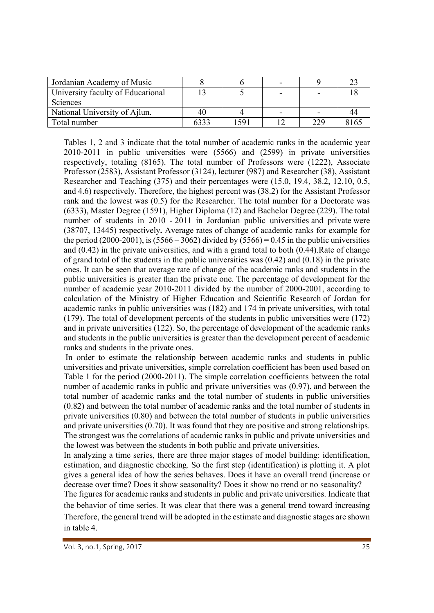| Jordanian Academy of Music        |      |     |     |  |
|-----------------------------------|------|-----|-----|--|
| University faculty of Educational |      |     |     |  |
| Sciences                          |      |     |     |  |
| National University of Ailun.     | 40   |     |     |  |
| Total number                      | 1331 | 591 | 229 |  |

Tables 1, 2 and 3 indicate that the total number of academic ranks in the academic year 2010-2011 in public universities were (5566) and (2599) in private universities respectively, totaling (8165). The total number of Professors were (1222), Associate Professor (2583), Assistant Professor (3124), lecturer (987) and Researcher (38), Assistant Researcher and Teaching (375) and their percentages were (15.0, 19.4, 38.2, 12.10, 0.5, and 4.6) respectively. Therefore, the highest percent was (38.2) for the Assistant Professor rank and the lowest was (0.5) for the Researcher. The total number for a Doctorate was (6333), Master Degree (1591), Higher Diploma (12) and Bachelor Degree (229). The total number of students in 2010 - 2011 in Jordanian public universities and private were (38707, 13445) respectively**.** Average rates of change of academic ranks for example for the period (2000-2001), is (5566 – 3062) divided by (5566) = 0.45 in the public universities and (0.42) in the private universities, and with a grand total to both (0.44).Rate of change of grand total of the students in the public universities was  $(0.42)$  and  $(0.18)$  in the private ones. It can be seen that average rate of change of the academic ranks and students in the public universities is greater than the private one. The percentage of development for the number of academic year 2010-2011 divided by the number of 2000-2001, according to calculation of the Ministry of Higher Education and Scientific Research of Jordan for academic ranks in public universities was (182) and 174 in private universities, with total (179). The total of development percents of the students in public universities were (172) and in private universities (122). So, the percentage of development of the academic ranks and students in the public universities is greater than the development percent of academic ranks and students in the private ones.

In order to estimate the relationship between academic ranks and students in public universities and private universities, simple correlation coefficient has been used based on Table 1 for the period (2000-2011). The simple correlation coefficients between the total number of academic ranks in public and private universities was (0.97), and between the total number of academic ranks and the total number of students in public universities (0.82) and between the total number of academic ranks and the total number of students in private universities (0.80) and between the total number of students in public universities and private universities (0.70). It was found that they are positive and strong relationships. The strongest was the correlations of academic ranks in public and private universities and the lowest was between the students in both public and private universities.

In analyzing a time series, there are three major stages of model building: identification, estimation, and diagnostic checking. So the first step (identification) is plotting it. A plot gives a general idea of how the series behaves. Does it have an overall trend (increase or decrease over time? Does it show seasonality? Does it show no trend or no seasonality?

The figures for academic ranks and students in public and private universities. Indicate that the behavior of time series. It was clear that there was a general trend toward increasing Therefore, the general trend will be adopted in the estimate and diagnostic stages are shown in table 4.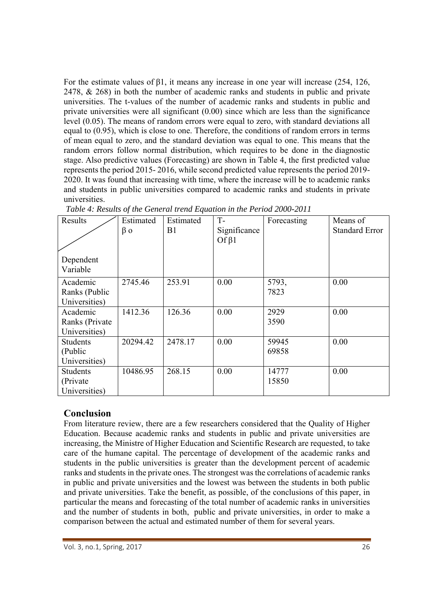For the estimate values of  $\beta$ 1, it means any increase in one year will increase (254, 126, 2478, & 268) in both the number of academic ranks and students in public and private universities. The t-values of the number of academic ranks and students in public and private universities were all significant (0.00) since which are less than the significance level (0.05). The means of random errors were equal to zero, with standard deviations all equal to (0.95), which is close to one. Therefore, the conditions of random errors in terms of mean equal to zero, and the standard deviation was equal to one. This means that the random errors follow normal distribution, which requires to be done in the diagnostic stage. Also predictive values (Forecasting) are shown in Table 4, the first predicted value represents the period 2015- 2016, while second predicted value represents the period 2019- 2020. It was found that increasing with time, where the increase will be to academic ranks and students in public universities compared to academic ranks and students in private universities.

| Results                                       | Estimated | Estimated | $T -$                        | Forecasting    | Means of              |
|-----------------------------------------------|-----------|-----------|------------------------------|----------------|-----------------------|
|                                               | $\beta$ o | B1        | Significance<br>Of $\beta$ 1 |                | <b>Standard Error</b> |
| Dependent<br>Variable                         |           |           |                              |                |                       |
| Academic<br>Ranks (Public<br>Universities)    | 2745.46   | 253.91    | 0.00                         | 5793,<br>7823  | 0.00                  |
| Academic<br>Ranks (Private<br>Universities)   | 1412.36   | 126.36    | 0.00                         | 2929<br>3590   | 0.00                  |
| <b>Students</b><br>(Public<br>Universities)   | 20294.42  | 2478.17   | 0.00                         | 59945<br>69858 | 0.00                  |
| <b>Students</b><br>(Private)<br>Universities) | 10486.95  | 268.15    | 0.00                         | 14777<br>15850 | 0.00                  |

 *Table 4: Results of the General trend Equation in the Period 2000-2011* 

### **Conclusion**

From literature review, there are a few researchers considered that the Quality of Higher Education. Because academic ranks and students in public and private universities are increasing, the Ministre of Higher Education and Scientific Research are requested, to take care of the humane capital. The percentage of development of the academic ranks and students in the public universities is greater than the development percent of academic ranks and students in the private ones. The strongest was the correlations of academic ranks in public and private universities and the lowest was between the students in both public and private universities. Take the benefit, as possible, of the conclusions of this paper, in particular the means and forecasting of the total number of academic ranks in universities and the number of students in both, public and private universities, in order to make a comparison between the actual and estimated number of them for several years.